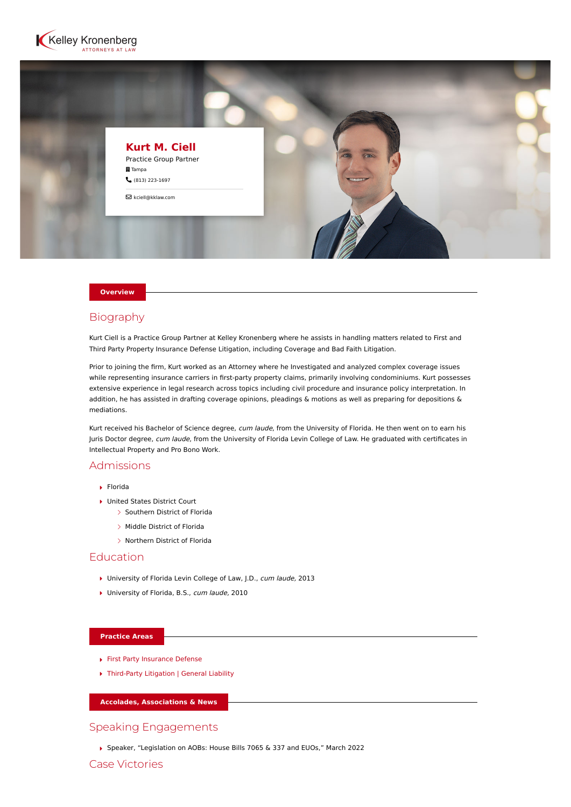



#### **Overview**

## Biography

Kurt Ciell is a Practice Group Partner at Kelley Kronenberg where he assists in handling matters related to First and Third Party Property Insurance Defense Litigation, including Coverage and Bad Faith Litigation.

Prior to joining the firm, Kurt worked as an Attorney where he Investigated and analyzed complex coverage issues while representing insurance carriers in first-party property claims, primarily involving condominiums. Kurt possesses extensive experience in legal research across topics including civil procedure and insurance policy interpretation. In addition, he has assisted in drafting coverage opinions, pleadings & motions as well as preparing for depositions & mediations.

Kurt received his Bachelor of Science degree, cum laude, from the University of Florida. He then went on to earn his Juris Doctor degree, cum laude, from the University of Florida Levin College of Law. He graduated with certificates in Intellectual Property and Pro Bono Work.

## Admissions

- Florida
- ▶ United States District Court
	- $\geq$  Southern District of Florida
	- > Middle District of Florida
	- > Northern District of Florida

# Education

- ▶ University of Florida Levin College of Law, J.D., cum laude, 2013
- ▶ University of Florida, B.S., cum laude, 2010

### **Practice Areas**

- [First Party Insurance Defense](https://www.kelleykronenberg.com/our-practices/first-party-insurance-defense-coverage-bad-faith/)
- [Third-Party Litigation | General Liability](https://www.kelleykronenberg.com/our-practices/third-party-insurance-defense/)

### **Accolades, Associations & News**

## Speaking Engagements

Speaker, "Legislation on AOBs: House Bills 7065 & 337 and EUOs," March 2022

Case Victories